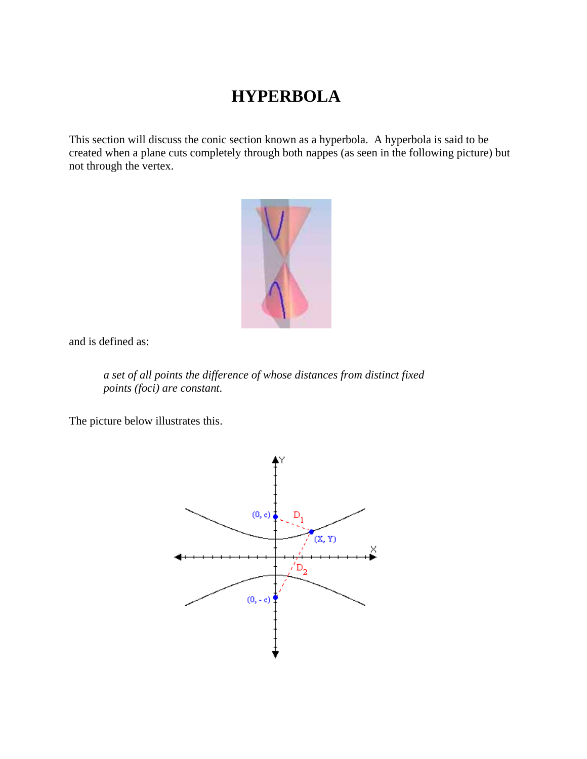## **HYPERBOLA**

This section will discuss the conic section known as a hyperbola. A hyperbola is said to be created when a plane cuts completely through both nappes (as seen in the following picture) but not through the vertex.



and is defined as:

*a set of all points the difference of whose distances from distinct fixed points (foci) are constant*.

The picture below illustrates this.

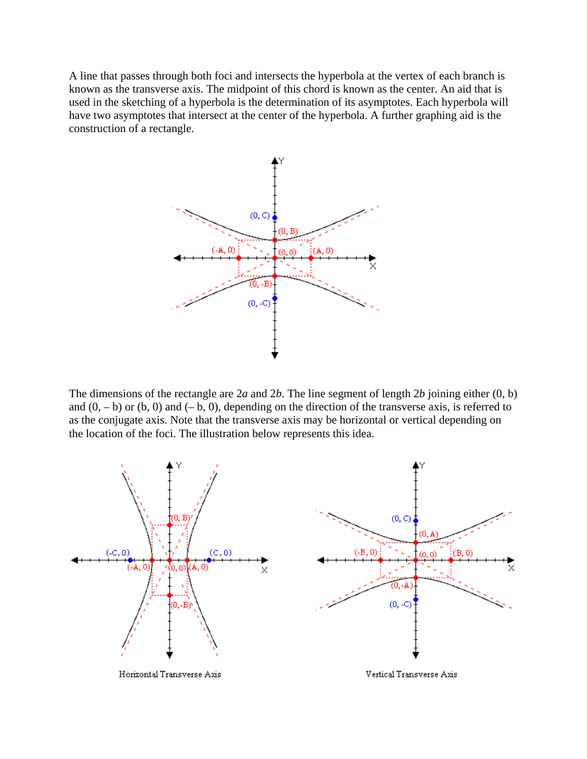A line that passes through both foci and intersects the hyperbola at the vertex of each branch is known as the transverse axis. The midpoint of this chord is known as the center. An aid that is used in the sketching of a hyperbola is the determination of its asymptotes. Each hyperbola will have two asymptotes that intersect at the center of the hyperbola. A further graphing aid is the construction of a rectangle.



The dimensions of the rectangle are 2*a* and 2*b*. The line segment of length 2*b* joining either (0, b) and  $(0, -b)$  or  $(b, 0)$  and  $(-b, 0)$ , depending on the direction of the transverse axis, is referred to as the conjugate axis. Note that the transverse axis may be horizontal or vertical depending on the location of the foci. The illustration below represents this idea.

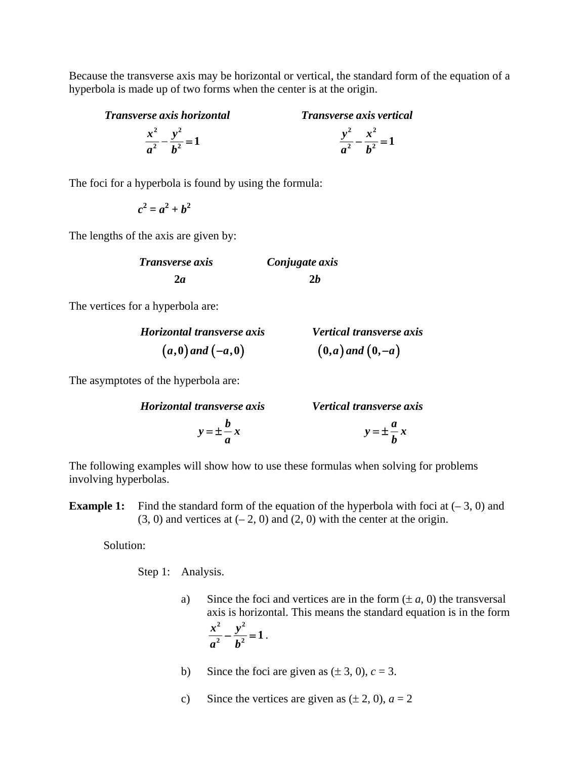Because the transverse axis may be horizontal or vertical, the standard form of the equation of a hyperbola is made up of two forms when the center is at the origin.

*Transverse axis horizontal Transverse axis vertical*

 $x^2$   $y^2$   $x^2$  $rac{y^2}{a^2} - \frac{x^2}{b^2} = 1$  $a^2$   $b^2$  **b**  $a^2$  **b**  $\frac{x}{2} - \frac{y}{12} = 1$   $\frac{y}{2} - \frac{x}{12} =$ 

The foci for a hyperbola is found by using the formula:

 *c*  $a^2 = a^2 + b^2$ 

The lengths of the axis are given by:

| <b>Transverse axis</b> | Conjugate axis |
|------------------------|----------------|
| 2а                     | 2h             |

The vertices for a hyperbola are:

| Horizontal transverse axis | <b>Vertical transverse axis</b> |
|----------------------------|---------------------------------|
| $(a,0)$ and $(-a,0)$       | $(0,a)$ and $(0,-a)$            |

The asymptotes of the hyperbola are:

| Horizontal transverse axis | Vertical transverse axis |
|----------------------------|--------------------------|
| $y = \pm -x$               | $y = \pm \frac{u}{l}x$   |

The following examples will show how to use these formulas when solving for problems involving hyperbolas.

**Example 1:** Find the standard form of the equation of the hyperbola with foci at  $(-3, 0)$  and  $(3, 0)$  and vertices at  $(-2, 0)$  and  $(2, 0)$  with the center at the origin.

Solution:

Step 1: Analysis.

- a) Since the foci and vertices are in the form  $(\pm a, 0)$  the transversal axis is horizontal. This means the standard equation is in the form  $rac{x^2}{2} - \frac{y}{y}$  $a^2$  *b* **2 2**  $\frac{y}{a^2} - \frac{y}{b^2} = 1$ .
	- b) Since the foci are given as  $(\pm 3, 0)$ ,  $c = 3$ .
	- c) Since the vertices are given as  $(\pm 2, 0)$ ,  $a = 2$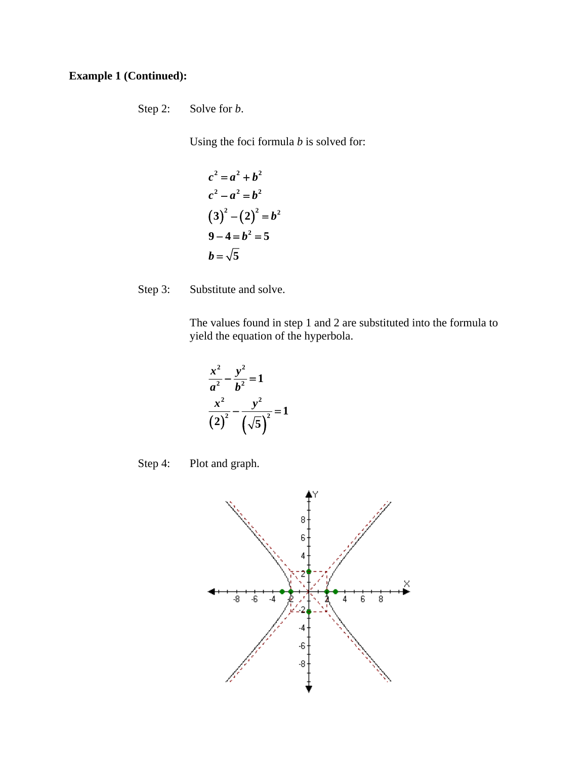## **Example 1 (Continued):**

Step 2: Solve for *b*.

Using the foci formula *b* is solved for:

$$
c2 = a2 + b2
$$
  

$$
c2 - a2 = b2
$$
  

$$
(3)2 - (2)2 = b2
$$
  

$$
9 - 4 = b2 = 5
$$
  

$$
b = \sqrt{5}
$$

Step 3: Substitute and solve.

The values found in step 1 and 2 are substituted into the formula to yield the equation of the hyperbola.

$$
\frac{x^2}{a^2} - \frac{y^2}{b^2} = 1
$$
  

$$
\frac{x^2}{(2)^2} - \frac{y^2}{(\sqrt{5})^2} = 1
$$